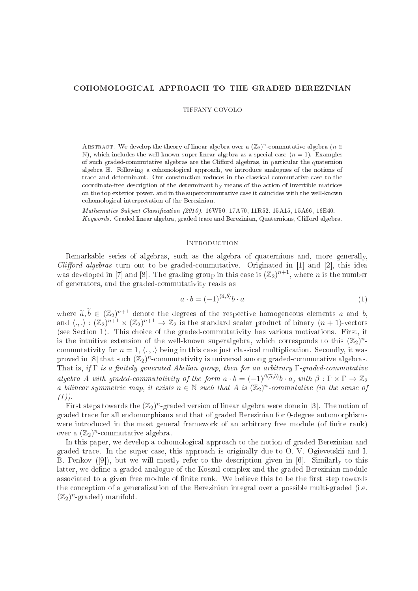# COHOMOLOGICAL APPROACH TO THE GRADED BEREZINIAN

TIFFANY COVOLO

ABSTRACT. We develop the theory of linear algebra over a  $(\mathbb{Z}_2)^n$ -commutative algebra  $(n \in$  $\mathbb{N}$ , which includes the well-known super linear algebra as a special case  $(n = 1)$ . Examples of such graded-commutative algebras are the Clifford algebras, in particular the quaternion algebra  $\mathbb{H}$ . Following a cohomological approach, we introduce analogues of the notions of trace and determinant. Our construction reduces in the classical commutative case to the coordinate-free description of the determinant by means of the action of invertible matrices on the top exterior power, and in the supercommutative case it coincides with the well-known ohomologi
al interpretation of the Berezinian.

Mathematics Subject Classification (2010). 16W50, 17A70, 11R52, 15A15, 15A66, 16E40. Keywords. Graded linear algebra, graded trace and Berezinian, Quaternions, Clifford algebra.

# **INTRODUCTION**

Remarkable series of algebras, su
h as the algebra of quaternions and, more generally, *Clifford algebras* turn out to be graded-commutative. Originated in  $[1]$  and  $[2]$ , this idea was developed in [7] and [8]. The grading group in this case is  $(\mathbb{Z}_2)^{n+1}$ , where n is the number of generators, and the gradedommutativity reads as

$$
a \cdot b = (-1)^{\langle \widetilde{a}, b \rangle} b \cdot a \tag{1}
$$

where  $\widetilde{a}, \widetilde{b} \in (\mathbb{Z}_2)^{n+1}$  denote the degrees of the respective homogeneous elements a and b, and  $\langle .,.\rangle : (\mathbb{Z}_2)^{n+1} \times (\mathbb{Z}_2)^{n+1} \to \mathbb{Z}_2$  is the standard scalar product of binary  $(n+1)$ -vectors (see Se
tion 1). This hoi
e of the gradedommutativity has various motivations. First, it is the intuitive extension of the well-known superalgebra, which corresponds to this  $(\mathbb{Z}_2)^n$ commutativity for  $n = 1, \langle ., . \rangle$  being in this case just classical multiplication. Secondly, it was proved in [8] that such  $(\mathbb{Z}_2)^n$ -commutativity is universal among graded-commutative algebras. That is, if  $\Gamma$  is a finitely generated Abelian group, then for an arbitrary  $\Gamma$ -graded-commutative algebra A with graded-commutativity of the form  $a \cdot b = (-1)^{\beta(\widetilde{a},b)}b \cdot a$ , with  $\beta: \Gamma \times \Gamma \to \mathbb{Z}_2$ a bilinear symmetric map, it exists  $n \in \mathbb{N}$  such that A is  $(\mathbb{Z}_2)^n$ -commutative (in the sense of  $(1)$ ).

First steps towards the  $(\mathbb{Z}_2)^n$ -graded version of linear algebra were done in [3]. The notion of graded tra
e for all endomorphisms and that of graded Berezinian for 0-degree automorphisms were introduced in the most general framework of an arbitrary free module (of finite rank) over a  $(\mathbb{Z}_2)^n$ -commutative algebra.

In this paper, we develop a cohomological approach to the notion of graded Berezinian and graded tra
e. In the super ase, this approa
h is originally due to O. V. Ogievetskii and I. B. Penkov  $([9])$ , but we will mostly refer to the description given in [6]. Similarly to this latter, we define a graded analogue of the Koszul complex and the graded Berezinian module associated to a given free module of finite rank. We believe this to be the first step towards the on
eption of a generalization of the Berezinian integral over a possible multi-graded (i.e.  $(\mathbb{Z}_2)^n$ -graded) manifold.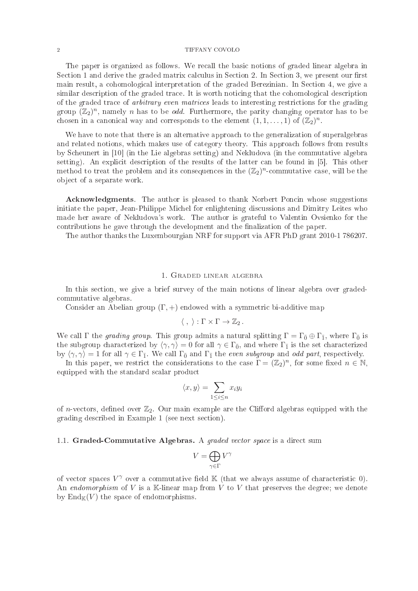The paper is organized as follows. We recall the basic notions of graded linear algebra in Section 1 and derive the graded matrix calculus in Section 2. In Section 3, we present our first main result, a cohomological interpretation of the graded Berezinian. In Section 4, we give a similar description of the graded trace. It is worth noticing that the cohomological description of the graded trace of *arbitrary even matrices* leads to interesting restrictions for the grading group  $(\mathbb{Z}_2)^n$ , namely n has to be *odd*. Furthermore, the parity changing operator has to be chosen in a canonical way and corresponds to the element  $(1, 1, \ldots, 1)$  of  $(\mathbb{Z}_2)^n$ .

We have to note that there is an alternative approach to the generalization of superalgebras and related notions, which makes use of category theory. This approach follows from results by Scheunert in [10] (in the Lie algebras setting) and Nekludova (in the commutative algebra setting). An explicit description of the results of the latter can be found in [5]. This other method to treat the problem and its consequences in the  $(\mathbb{Z}_2)^n$ -commutative case, will be the ob je
t of a separate work.

Acknowledgments. The author is pleased to thank Norbert Poncin whose suggestions initiate the paper, Jean-Philippe Michel for enlightening discussions and Dimitry Leites who made her aware of Nekludova's work. The author is grateful to Valentin Ovsienko for the contributions he gave through the development and the finalization of the paper.

The author thanks the Luxembourgian NRF for support via AFR PhD grant 2010-1 786207.

### 1. Graded linear algebra

In this section, we give a brief survey of the main notions of linear algebra over gradedommutative algebras.

Consider an Abelian group  $(\Gamma, +)$  endowed with a symmetric bi-additive map

$$
\langle \ , \ \rangle : \Gamma \times \Gamma \to \mathbb{Z}_2 \, .
$$

We call  $\Gamma$  the *grading group*. This group admits a natural splitting  $\Gamma = \Gamma_{\bar{0}} \oplus \Gamma_{\bar{1}}$ , where  $\Gamma_{\bar{0}}$  is the subgroup characterized by  $\langle \gamma, \gamma \rangle = 0$  for all  $\gamma \in \Gamma_{\bar{0}}$ , and where  $\Gamma_{\bar{1}}$  is the set characterized by  $\langle \gamma, \gamma \rangle = 1$  for all  $\gamma \in \Gamma_{\bar{1}}$ . We call  $\Gamma_{\bar{0}}$  and  $\Gamma_{\bar{1}}$  the *even subgroup* and *odd part*, respectively.

In this paper, we restrict the considerations to the case  $\Gamma = (\mathbb{Z}_2)^n$ , for some fixed  $n \in \mathbb{N}$ , equipped with the standard s
alar produ
t

$$
\langle x, y \rangle = \sum_{1 \le i \le n} x_i y_i
$$

of *n*-vectors, defined over  $\mathbb{Z}_2$ . Our main example are the Clifford algebras equipped with the grading des
ribed in Example 1 (see next se
tion).

## 1.1. Graded-Commutative Algebras. A *graded vector space* is a direct sum

$$
V = \bigoplus_{\gamma \in \Gamma} V^{\gamma}
$$

of vector spaces  $V^{\gamma}$  over a commutative field  $\mathbb{K}$  (that we always assume of characteristic 0). An endomorphism of V is a K-linear map from V to V that preserves the degree; we denote by  $\text{End}_{\mathbb{K}}(V)$  the space of endomorphisms.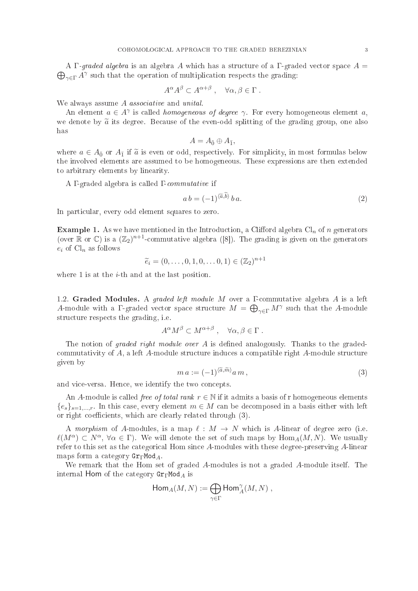$\bigoplus_{\gamma\in\Gamma}A^{\gamma}$  such that the operation of multiplication respects the grading: A  $\Gamma$ -graded algebra is an algebra A which has a structure of a  $\Gamma$ -graded vector space  $A =$ 

$$
A^{\alpha}A^{\beta} \subset A^{\alpha+\beta} , \quad \forall \alpha, \beta \in \Gamma .
$$

We always assume A *associative* and *unital*.

An element  $a \in A^{\gamma}$  is called *homogeneous of degree*  $\gamma$ . For every homogeneous element a, we denote by  $\tilde{a}$  its degree. Because of the even-odd splitting of the grading group, one also has

$$
A=A_{\bar{0}}\oplus A_{\bar{1}},
$$

where  $a \in A_{\bar{0}}$  or  $A_{\bar{1}}$  if  $\tilde{a}$  is even or odd, respectively. For simplicity, in most formulas below the involved elements are assumed to be homogeneous. These expressions are then extended to arbitrary elements by linearity.

A Γ-graded algebra is called Γ-*commutative* if

$$
a b = (-1)^{\langle \tilde{a}, b \rangle} b a. \tag{2}
$$

In particular, every odd element squares to zero.

**Example 1.** As we have mentioned in the Introduction, a Clifford algebra  $\text{Cl}_n$  of n generators (over  $\mathbb R$  or  $\mathbb C$ ) is a  $(\mathbb Z_2)^{n+1}$ -commutative algebra ([8]). The grading is given on the generators  $e_i$  of  $\mathrm{Cl}_n$  as follows

$$
\tilde{e}_i = (0, \ldots, 0, 1, 0, \ldots, 0, 1) \in (\mathbb{Z}_2)^{n+1}
$$

where 1 is at the *i*-th and at the last position.

1.2. Graded Modules. A graded left module M over <sup>a</sup> Γommutative algebra A is <sup>a</sup> left A-module with a  $\Gamma$ -graded vector space structure  $M = \bigoplus_{\gamma \in \Gamma} M^{\gamma}$  such that the A-module stru
ture respe
ts the grading, i.e.

$$
A^{\alpha}M^{\beta} \subset M^{\alpha+\beta} , \quad \forall \alpha, \beta \in \Gamma .
$$

The notion of *graded right module over*  $A$  is defined analogously. Thanks to the gradedcommutativity of  $A$ , a left  $A$ -module structure induces a compatible right  $A$ -module structure given by

$$
m a := (-1)^{\langle \tilde{a}, \tilde{m} \rangle} a m , \qquad (3)
$$

and vi
e-versa. Hen
e, we identify the two on
epts.

An A-module is called *free of total rank*  $r \in \mathbb{N}$  if it admits a basis of r homogeneous elements  ${e_s}_{s=1,\dots,r}$ . In this case, every element  $m \in M$  can be decomposed in a basis either with left or right coefficients, which are clearly related through  $(3)$ .

A morphism of A-modules, is a map  $\ell : M \to N$  which is A-linear of degree zero (i.e.  $\ell(M^{\alpha}) \subset N^{\alpha}, \forall \alpha \in \Gamma$ ). We will denote the set of such maps by  $\text{Hom}_{A}(M, N)$ . We usually refer to this set as the categorical Hom since A-modules with these degree-preserving A-linear maps form a category  $\text{Gr}_{\Gamma} \text{Mod}_A$ .

We remark that the Hom set of graded A-modules is not a graded A-module itself. The internal Hom of the category  $Gr<sub>\Gamma</sub>Mod<sub>A</sub>$  is

$$
\operatorname{\mathsf{Hom}}_A(M,N):=\bigoplus_{\gamma\in\Gamma}\operatorname{\mathsf{Hom}}_A^\gamma(M,N)\;,
$$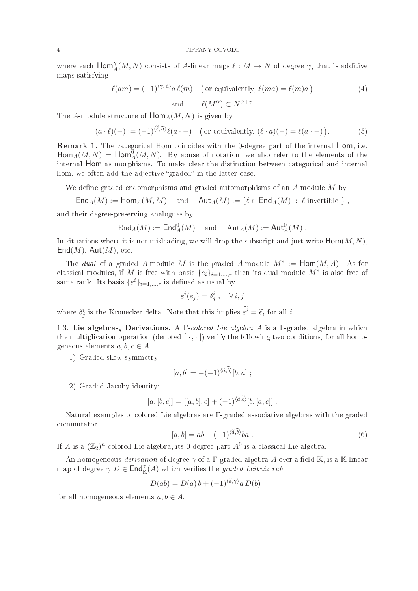where each  $\textsf{Hom}_{A}^{\gamma}(M,N)$  consists of A-linear maps  $\ell : M \to N$  of degree  $\gamma$ , that is additive maps satisfying

$$
\ell(am) = (-1)^{\langle \gamma, \widetilde{a} \rangle} a \,\ell(m) \quad \text{(or equivalently, } \ell(ma) = \ell(m)a \text{)}
$$
\n
$$
\ell(M^{\alpha}) \subset N^{\alpha + \gamma} \,. \tag{4}
$$

The A-module structure of  $\text{Hom}_A(M, N)$  is given by

$$
(a \cdot \ell)(-) := (-1)^{\langle \ell, \tilde{a} \rangle} \ell(a \cdot -) \quad \text{(or equivalently, } (\ell \cdot a)(-) = \ell(a \cdot -)\text{)}.
$$
 (5)

Remark 1. The categorical Hom coincides with the 0-degree part of the internal Hom, i.e.  $\text{Hom}_A(M, N) = \text{Hom}_A^{\vec{0}}(M, N)$ . By abuse of notation, we also refer to the elements of the internal Hom as morphisms. To make clear the distinction between categorical and internal hom, we often add the adjective "graded" in the latter case.

We define graded endomorphisms and graded automorphisms of an  $A$ -module  $M$  by

$$
\mathsf{End}_A(M) := \mathsf{Hom}_A(M,M) \quad \text{and} \quad \mathsf{Aut}_A(M) := \{ \ell \in \mathsf{End}_A(M) \; : \; \ell \text{ invertible } \} \;,
$$

and their degree-preserving analogues by

$$
\operatorname{End}\nolimits_A(M):=\operatorname{\mathsf{End}}\nolimits_A^0(M) \quad \text{ and } \quad \operatorname{Aut}\nolimits_A(M):=\operatorname{\mathsf{Aut}}\nolimits_A^0(M)\;.
$$

In situations where it is not misleading, we will drop the subscript and just write  $\text{Hom}(M, N)$ .  $\mathsf{End}(M)$ ,  $\mathsf{Aut}(M)$ , etc.

The *dual* of a graded A-module M is the graded A-module  $M^* := \text{Hom}(M, A)$ . As for classical modules, if M is free with basis  $\{e_i\}_{i=1,\dots,r}$  then its dual module  $M^*$  is also free of same rank. Its basis  $\{\varepsilon^i\}_{i=1,\dots,r}$  is defined as usual by

$$
\varepsilon^i(e_j) = \delta^i_j \;, \quad \forall \, i, j
$$

where  $\delta_j^i$  is the Kronecker delta. Note that this implies  $\varepsilon^i = \tilde{e}_i$  for all *i*.

1.3. Lie algebras, Derivations. A  $\Gamma$ -colored Lie algebra A is a  $\Gamma$ -graded algebra in which the multiplication operation (denoted  $[\cdot, \cdot]$ ) verify the following two conditions, for all homogeneous elements  $a, b, c \in A$ .

1) Graded skew-symmetry:

$$
[a,b] = -(-1)^{\langle \widetilde{a},b\rangle}[b,a] ;
$$

2) Graded Ja
oby identity:

$$
[a,[b,c]] = [[a,b],c] + (-1)^{\langle \tilde{a},b \rangle}[b,[a,c]] .
$$

Natural examples of olored Lie algebras are Γ-graded asso
iative algebras with the graded ommutator

$$
[a, b] = ab - (-1)^{\langle \tilde{a}, \tilde{b} \rangle} ba . \tag{6}
$$

If A is a  $(\mathbb{Z}_2)^n$ -colored Lie algebra, its 0-degree part  $A^0$  is a classical Lie algebra.

An homogeneous *derivation* of degree  $\gamma$  of a  $\Gamma$ -graded algebra A over a field K, is a K-linear map of degree  $\gamma D \in \mathsf{End}^{\gamma}_{\mathbb{K}}(A)$  which verifies the *graded Leibniz rule* 

$$
D(ab) = D(a) b + (-1)^{\langle \tilde{a}, \gamma \rangle} a D(b)
$$

for all homogeneous elements  $a, b \in A$ .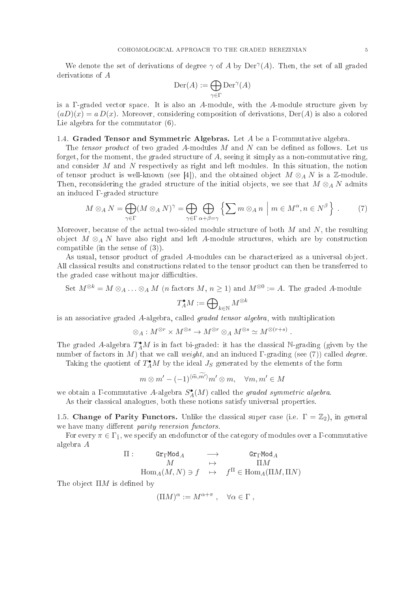We denote the set of derivations of degree  $\gamma$  of A by Der<sup> $\gamma$ </sup>(A). Then, the set of all graded derivations of A

$$
\mathrm{Der}(A) := \bigoplus_{\gamma \in \Gamma} \mathrm{Der}^{\gamma}(A)
$$

is a  $\Gamma$ -graded vector space. It is also an A-module, with the A-module structure given by  $(aD)(x) = a D(x)$ . Moreover, considering composition of derivations,  $Der(A)$  is also a colored Lie algebra for the ommutator (6).

## 1.4. Graded Tensor and Symmetric Algebras. Let A be a F commutative algebra.

The tensor product of two graded A-modules  $M$  and  $N$  can be defined as follows. Let us forget, for the moment, the graded structure of  $A$ , seeing it simply as a non-commutative ring, and consider M and N respectively as right and left modules. In this situation, the notion of tensor product is well-known (see [4]), and the obtained object  $M \otimes_A N$  is a Z-module. Then, reconsidering the graded structure of the initial objects, we see that  $M \otimes_A N$  admits an indu
ed Γ-graded stru
ture

$$
M \otimes_A N = \bigoplus_{\gamma \in \Gamma} (M \otimes_A N)^{\gamma} = \bigoplus_{\gamma \in \Gamma} \bigoplus_{\alpha + \beta = \gamma} \left\{ \sum m \otimes_A n \mid m \in M^{\alpha}, n \in N^{\beta} \right\}.
$$
 (7)

Moreover, because of the actual two-sided module structure of both  $M$  and  $N$ , the resulting object  $M \otimes_A N$  have also right and left A-module structures, which are by construction compatible (in the sense of  $(3)$ ).

As usual, tensor product of graded A-modules can be characterized as a universal object. All classical results and constructions related to the tensor product can then be transferred to the graded case without major difficulties.

Set 
$$
M^{\otimes k} = M \otimes_A \dots \otimes_A M
$$
 (*n* factors  $M, n \ge 1$ ) and  $M^{\otimes 0} := A$ . The graded A-module

$$
T_A^\bullet M:=\bigoplus\nolimits_{k\in\mathbb{N}}M^{\otimes k}
$$

is an associative graded A-algebra, called *graded tensor algebra*, with multiplication

$$
\otimes_A: M^{\otimes r} \times M^{\otimes s} \to M^{\otimes r} \otimes_A M^{\otimes s} \simeq M^{\otimes (r+s)}
$$

.

The graded A-algebra  $T_A^{\bullet}M$  is in fact bi-graded: it has the classical N-grading (given by the number of factors in M) that we call weight, and an induced  $\Gamma$ -grading (see (7)) called *degree*.

Taking the quotient of  $T_A^{\bullet}M$  by the ideal  $J_S$  generated by the elements of the form

$$
m \otimes m' - (-1)^{\langle \widetilde{m}, m' \rangle} m' \otimes m, \quad \forall m, m' \in M
$$

we obtain a  $\Gamma$ -commutative A-algebra  $S_A^{\bullet}(M)$  called the graded symmetric algebra.

As their classical analogues, both these notions satisfy universal properties.

1.5. Change of Parity Functors. Unlike the classical super case (i.e.  $\Gamma = \mathbb{Z}_2$ ), in general we have many different *parity reversion functors*.

For every  $\pi \in \Gamma_{\bar{1}}$ , we specify an endofunctor of the category of modules over a  $\Gamma$ -commutative algebra A

$$
\begin{array}{cccc}\n\Pi: & &\mathsf{Gr}_{\Gamma}\mathsf{Mod}_A & & \longrightarrow & \mathsf{Gr}_{\Gamma}\mathsf{Mod}_A \\
M & & \mapsto & \Pi M \\
\operatorname{Hom}_A(M,N) \ni f & \mapsto & f^{\Pi} \in \operatorname{Hom}_A(\Pi M,\Pi N)\n\end{array}
$$

The object  $\Pi M$  is defined by

$$
(\Pi M)^{\alpha} := M^{\alpha + \pi} , \quad \forall \alpha \in \Gamma ,
$$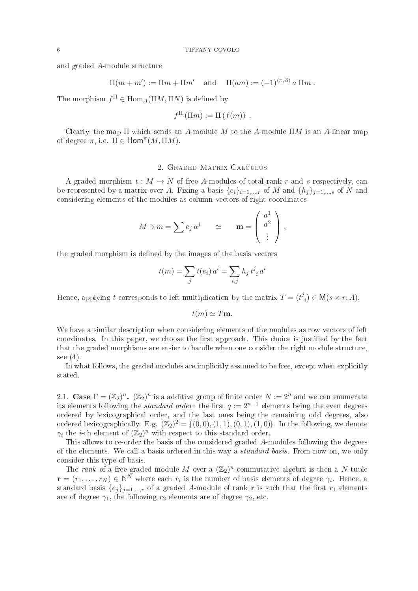and graded A-module stru
ture

$$
\Pi(m+m') := \Pi m + \Pi m' \quad \text{and} \quad \Pi(am) := (-1)^{\langle \pi, \widetilde{a} \rangle} a \Pi m \ .
$$

The morphism  $f^{\Pi} \in \text{Hom}_A(\Pi M, \Pi N)$  is defined by

$$
f^{\Pi}(\Pi m) := \Pi(f(m)) .
$$

Clearly, the map  $\Pi$  which sends an A-module M to the A-module  $\Pi M$  is an A-linear map of degree  $\pi$ , i.e.  $\Pi \in \text{Hom}^{\pi}(M, \Pi M)$ .

A graded morphism  $t : M \to N$  of free A-modules of total rank r and s respectively, can be represented by a matrix over A. Fixing a basis  $\{e_i\}_{i=1,\dots,r}$  of M and  $\{h_i\}_{i=1,\dots,s}$  of N and considering elements of the modules as column vectors of right coordinates

$$
M \ni m = \sum e_j a^j \qquad \simeq \qquad \mathbf{m} = \begin{pmatrix} a^1 \\ a^2 \\ \vdots \end{pmatrix},
$$

the graded morphism is defined by the images of the basis vectors

$$
t(m) = \sum_{j} t(e_i) a^i = \sum_{i,j} h_j t^j{}_i a^i
$$

Hence, applying t corresponds to left multiplication by the matrix  $T = (t^j)$  $i) \in M(s \times r; A),$ 

$$
t(m) \simeq T\mathbf{m}.
$$

We have a similar description when considering elements of the modules as row vectors of left coordinates. In this paper, we choose the first approach. This choice is justified by the fact that the graded morphisms are easier to handle when one consider the right module structure, see  $(4)$ .

In what follows, the graded modules are implicitly assumed to be free, except when explicitly stated.

2.1. Case  $\Gamma = (\mathbb{Z}_2)^n$ .  $(\mathbb{Z}_2)^n$  is a additive group of finite order  $N := 2^n$  and we can enumerate its elements following the *standard order*: the first  $q := 2^{n-1}$  elements being the even degrees ordered by lexi
ographi
al order, and the last ones being the remaining odd degrees, also ordered lexicographically. E.g.  $(\mathbb{Z}_2)^2 = \{(0,0), (1,1), (0,1), (1,0)\}$ . In the following, we denote  $\gamma_i$  the *i*-th element of  $(\mathbb{Z}_2)^n$  with respect to this standard order.

This allows to re-order the basis of the onsidered graded A-modules following the degrees of the elements. We all a basis ordered in this way a standard basis. From now on, we only onsider this type of basis.

The rank of a free graded module M over a  $(\mathbb{Z}_2)^n$ -commutative algebra is then a N-tuple  $\mathbf{r} = (r_1, \ldots, r_N) \in \mathbb{N}^N$  where each  $r_i$  is the number of basis elements of degree  $\gamma_i$ . Hence, a standard basis  $\{e_i\}_{i=1,\dots,r}$  of a graded A-module of rank **r** is such that the first  $r_1$  elements are of degree  $\gamma_1$ , the following  $r_2$  elements are of degree  $\gamma_2$ , etc.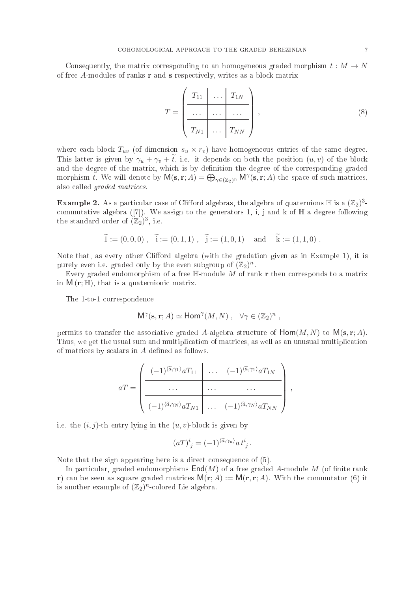Consequently, the matrix corresponding to an homogeneous graded morphism  $t : M \to N$ of free  $A$ -modules of ranks  $\bf{r}$  and  $\bf{s}$  respectively, writes as a block matrix

$$
T = \left(\begin{array}{ccc|ccc} T_{11} & \cdots & T_{1N} \\ \hline \cdots & \cdots & \cdots \\ \hline T_{N1} & \cdots & T_{NN} \end{array}\right),
$$
 (8)

where each block  $T_{uv}$  (of dimension  $s_u \times r_v$ ) have homogeneous entries of the same degree. This latter is given by  $\gamma_u + \gamma_v + \tilde{t}$ , i.e. it depends on both the position  $(u, v)$  of the block and the degree of the matrix, which is by definition the degree of the corresponding graded morphism t. We will denote by  $M(s, r; A) = \bigoplus_{\gamma \in (\mathbb{Z}_2)^n} M^{\gamma}(s, r; A)$  the space of such matrices, also alled graded matri
es.

**Example 2.** As a particular case of Clifford algebras, the algebra of quaternions  $\mathbb H$  is a  $(\mathbb Z_2)^3$ commutative algebra ([7]). We assign to the generators 1, i, j and k of  $\mathbb H$  a degree following the standard order of  $(\mathbb{Z}_2)^3$ , i.e.

$$
\widetilde{1} := (0,0,0) , \widetilde{i} := (0,1,1) , \widetilde{j} := (1,0,1) \text{ and } \widetilde{k} := (1,1,0) .
$$

Note that, as every other Clifford algebra (with the gradation given as in Example 1), it is purely even i.e. graded only by the even subgroup of  $(\mathbb{Z}_2)^n$ .

Every graded endomorphism of a free  $\mathbb{H}$ -module M of rank r then corresponds to a matrix in  $M(r;\mathbb{H})$ , that is a quaternionic matrix.

The 1-to-1 orresponden
e

$$
\mathsf{M}^\gamma(\mathbf{s}, \mathbf{r}; A) \simeq \mathsf{Hom}^\gamma(M, N) \ , \ \ \forall \gamma \in (\mathbb{Z}_2)^n \ ,
$$

permits to transfer the associative graded A-algebra structure of  $\text{Hom}(M, N)$  to  $\mathsf{M}(\mathbf{s}, \mathbf{r}; A)$ . Thus, we get the usual sum and multipli
ation of matri
es, as well as an unusual multipli
ation of matrices by scalars in  $A$  defined as follows.

$$
aT = \left(\begin{array}{c|c|c}\n(-1)^{\langle \tilde{a}, \gamma_1 \rangle} aT_{11} & \dots & (-1)^{\langle \tilde{a}, \gamma_1 \rangle} aT_{1N} \\
\hline\n\vdots & \ddots & \dots & \dots \\
(-1)^{\langle \tilde{a}, \gamma_N \rangle} aT_{N1} & \dots & (-1)^{\langle \tilde{a}, \gamma_N \rangle} aT_{NN}\n\end{array}\right),
$$

i.e. the  $(i, j)$ -th entry lying in the  $(u, v)$ -block is given by

$$
(aT)^i{}_j = (-1)^{\langle \tilde{a}, \gamma_u \rangle} a t^i{}_j .
$$

Note that the sign appearing here is a direct consequence of  $(5)$ .

In particular, graded endomorphisms  $\text{End}(M)$  of a free graded A-module M (of finite rank r) can be seen as square graded matrices  $M(r; A) := M(r, r; A)$ . With the commutator (6) it is another example of  $(\mathbb{Z}_2)^n$ -colored Lie algebra.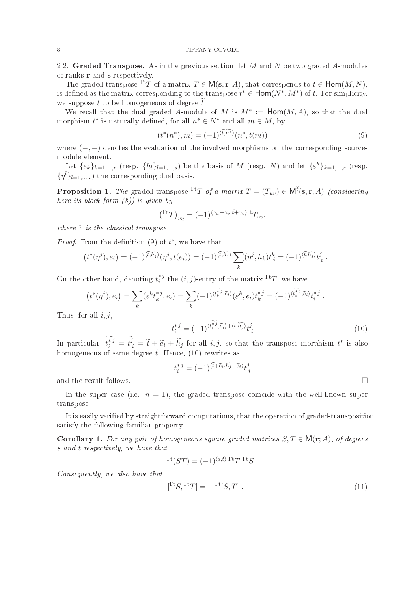2.2. Graded Transpose. As in the previous section, let  $M$  and  $N$  be two graded  $A$ -modules of ranks r and s respe
tively.

The graded transpose  $\Gamma^{\text{tr}}T$  of a matrix  $T \in M(\mathbf{s}, \mathbf{r}; A)$ , that corresponds to  $t \in \text{Hom}(M, N)$ . is defined as the matrix corresponding to the transpose  $t^* \in \text{Hom}(N^*, M^*)$  of t. For simplicity, we suppose t to be homogeneous of degree  $\tilde{t}$ .

We recall that the dual graded A-module of M is  $M^* := \text{Hom}(M, A)$ , so that the dual morphism  $t^*$  is naturally defined, for all  $n^* \in N^*$  and all  $m \in M$ , by

$$
(t^*(n^*), m) = (-1)^{\langle \tilde{t}, n^* \rangle} (n^*, t(m)) \tag{9}
$$

where  $(-,-)$  denotes the evaluation of the involved morphisms on the corresponding sourcemodule element.

Let  $\{e_k\}_{k=1,\dots,r}$  (resp.  $\{h_l\}_{l=1,\dots,s}$ ) be the basis of M (resp. N) and let  $\{\varepsilon^k\}_{k=1,\dots,r}$  (resp.  $\{\eta^l\}_{l=1,\dots,s}$  the corresponding dual basis.

**Proposition 1.** The graded transpose  $\Gamma^{\text{t}}T$  of a matrix  $T = (T_{uv}) \in \mathsf{M}^{\tilde{t}}(\mathbf{s}, \mathbf{r}; A)$  (considering here its block form  $(8)$ ) is given by

$$
({}^{\mathrm{Tr}}T)_{vu} = (-1)^{\langle \gamma_u + \gamma_v, \tilde{t} + \gamma_v \rangle} {}^{\mathrm{t}}T_{uv}.
$$

where  $\bar{t}$  is the classical transpose.

*Proof.* From the definition  $(9)$  of  $t^*$ , we have that

$$
(t^*(\eta^j), e_i) = (-1)^{\langle \widetilde{t}, \widetilde{h_j} \rangle} (\eta^j, t(e_i)) = (-1)^{\langle \widetilde{t}, \widetilde{h_j} \rangle} \sum_k (\eta^j, h_k) t_i^k = (-1)^{\langle \widetilde{t}, \widetilde{h_j} \rangle} t_i^j.
$$

On the other hand, denoting  $t_i^*$ <sup>j</sup>  $i^*$  the  $(i, j)$ -entry of the matrix  $\Gamma^{\text{t}}T$ , we have

$$
(t^*(\eta^j), e_i) = \sum_k (\varepsilon^k t_k^{*j}, e_i) = \sum_k (-1)^{\langle t_k^{*j}, \tilde{e}_i \rangle} (\varepsilon^k, e_i) t_k^{*j} = (-1)^{\langle t_i^{*j}, \tilde{e}_i \rangle} t_i^{*j}.
$$

Thus, for all  $i, j$ .

$$
t_i^{*j} = (-1)^{\langle t_i^{*j}, \tilde{e}_i \rangle + \langle \tilde{t}, \tilde{h}_j \rangle} t_i^j \tag{10}
$$

In particular,  $t_i^{*j} = t_j^j = \tilde{t} + \tilde{e}_i + \tilde{h}_j$  for all  $i, j$ , so that the transpose morphism  $t^*$  is also homogeneous of same degree  $\tilde{t}$ . Hence, (10) rewrites as

$$
t_i^{*j} = (-1)^{\langle \widetilde{t} + \widetilde{e}_i, \widetilde{h_j} + \widetilde{e}_i \rangle} t_i^j
$$

and the result follows.

In the super case (i.e.  $n = 1$ ), the graded transpose coincide with the well-known super transpose.

It is easily verified by straightforward computations, that the operation of graded-transposition satisfy the following familiar property.

Corollary 1. For any pair of homogeneous square graded matrices  $S, T \in M(r; A)$ , of degrees s and t respectively, we have that

$$
T^{\rm t}(ST) = (-1)^{\langle s,t\rangle \; \Gamma^{\rm t}T \; \Gamma^{\rm t}S \; .
$$

Consequently, we also have that

$$
[\Gamma S, \Gamma T] = -\Gamma [S, T]. \tag{11}
$$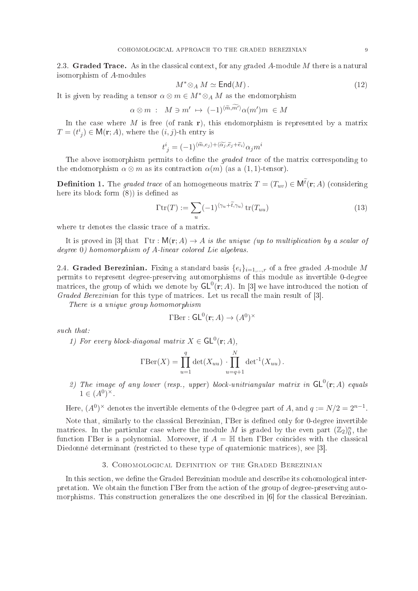2.3. Graded Trace. As in the classical context, for any graded A-module M there is a natural isomorphism of A-modules

$$
M^* \otimes_A M \simeq \mathsf{End}(M). \tag{12}
$$

It is given by reading a tensor  $\alpha \otimes m \in M^* \otimes_A M$  as the endomorphism

$$
\alpha \otimes m : M \ni m' \mapsto (-1)^{\langle \widetilde{m}, m' \rangle} \alpha(m') m \in M
$$

In the case where M is free (of rank r), this endomorphism is represented by a matrix  $T = (t^i_j) \in \mathsf{M}(\mathbf{r};A)$ , where the  $(i,j)$ -th entry is

$$
t^i_{\;j}=(-1)^{\langle \widetilde{m},e_j\rangle+\langle \widetilde{\alpha_j},\widetilde{e}_j+\widetilde{e}_i\rangle}\alpha_jm^i
$$

The above isomorphism permits to define the *graded trace* of the matrix corresponding to the endomorphism  $\alpha \otimes m$  as its contraction  $\alpha(m)$  (as a (1, 1)-tensor).

**Definition 1.** The graded trace of an homogeneous matrix  $T = (T_{uv}) \in \mathsf{M}^{\widetilde{t}}(\mathbf{r};A)$  (considering here its block form  $(8)$ ) is defined as

$$
\Gamma \operatorname{tr}(T) := \sum_{u} (-1)^{\langle \gamma_u + \tilde{t}, \gamma_u \rangle} \operatorname{tr}(T_{uu}) \tag{13}
$$

where tr denotes the classic trace of a matrix.

It is proved in [3] that  $\mathrm{Tr} : \mathsf{M}(\mathbf{r};A) \to A$  is the unique (up to multiplication by a scalar of degree 0) homomorphism of A-linear colored Lie algebras.

2.4. Graded Berezinian. Fixing a standard basis  $\{e_i\}_{i=1,\dots,r}$  of a free graded A-module M permits to represent degree-preserving automorphisms of this module as invertible 0-degree matrices, the group of which we denote by  $GL^0(\mathbf{r};A)$ . In [3] we have introduced the notion of Graded Berezinian for this type of matrices. Let us recall the main result of [3].

There is a unique group homomorphism

$$
\Gamma \text{Ber}: \mathsf{GL}^0(\mathbf{r};A) \to (A^0)^\times
$$

such that:

1) For every block-diagonal matrix  $X \in \mathsf{GL}^0(\mathbf{r};A)$ ,

$$
\Gamma \text{Ber}(X) = \prod_{u=1}^{q} \det(X_{uu}) \cdot \prod_{u=q+1}^{N} \det^{-1}(X_{uu}).
$$

2) The image of any lower (resp., upper) block-unitriangular matrix in  $\mathsf{GL}^0(\mathbf{r};A)$  equals  $1 \in (A^0)^\times$ .

Here,  $(A^0)^{\times}$  denotes the invertible elements of the 0-degree part of A, and  $q := N/2 = 2^{n-1}$ .

Note that, similarly to the classical Berezinian, TBer is defined only for 0-degree invertible matrices. In the particular case where the module M is graded by the even part  $(\mathbb{Z}_2)^n_0$ , the function TBer is a polynomial. Moreover, if  $A = \mathbb{H}$  then TBer coincides with the classical Diedonné determinant (restricted to these type of quaternionic matrices), see [3]

# 3. COHOMOLOGICAL DEFINITION OF THE GRADED BEREZINIAN

In this section, we define the Graded Berezinian module and describe its cohomological interpretation. We obtain the function TBer from the action of the group of degree-preserving automorphisms. This construction generalizes the one described in [6] for the classical Berezinian.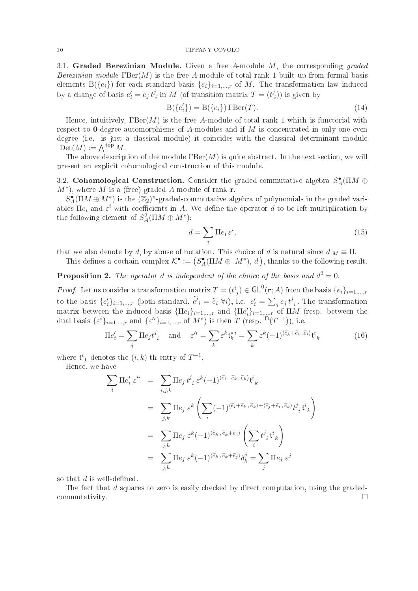3.1. Graded Berezinian Module. Given a free A-module  $M$ , the corresponding graded Berezinian module  $\text{TBer}(M)$  is the free A-module of total rank 1 built up from formal basis elements  $B({e_i})$  for each standard basis  ${e_i}_{i=1,\dots,r}$  of M. The transformation law induced by a change of basis  $e'_i = e_j t^j$  $i_i$  in M (of transition matrix  $T = (t_i)$  $\binom{n}{i}$ ) is given by

$$
B(\lbrace e_i' \rbrace) = B(\lbrace e_i \rbrace) \Gamma Ber(T). \tag{14}
$$

Hence, intuitively,  $\text{IBer}(M)$  is the free A-module of total rank 1 which is functorial with respect to **0**-degree automorphisms of A-modules and if M is concentrated in only one even degree (i.e. is just a classical module) it coincides with the classical determinant module  $Det(M) := \bigwedge^{\text{top}} M$ .

The above description of the module  $\text{TBer}(M)$  is quite abstract. In the text section, we will present an expli
it ohomologi
al onstru
tion of this module.

3.2. Cohomological Construction. Consider the graded-commutative algebra  $S_A^{\bullet}(\Pi M \oplus$  $(M^*)$ , where M is a (free) graded A-module of rank r.

 $\dot{S}_A^{\bullet}(\Pi M \oplus M^*)$  is the  $(\mathbb{Z}_2)^n$ -graded-commutative algebra of polynomials in the graded variables  $\Pi e_i$  and  $\varepsilon^i$  with coefficients in A. We define the operator  $d$  to be left multiplication by the following element of  $S^2_A(\Pi M \oplus M^*)$ :

$$
d = \sum_{i} \Pi e_i \, \varepsilon^i,\tag{15}
$$

that we also denote by d, by abuse of notation. This choice of d is natural since  $d|_M \equiv \Pi$ .

This defines a cochain complex  $\mathcal{K}^{\bullet} := (S^{\bullet}_A(\Pi M \oplus M^*), d)$ , thanks to the following result.

**Proposition 2.** The operator d is independent of the choice of the basis and  $d^2 = 0$ .

*Proof.* Let us consider a transformation matrix  $T = (t^i_j) \in \mathsf{GL}^0(\mathbf{r};A)$  from the basis  $\{e_i\}_{i=1,\dots,r}$ to the basis  $\{e'_i\}_{i=1,\dots,r}$  (both standard,  $\tilde{e'}_i = \tilde{e}_i \ \forall i$ ), i.e.  $e'_i = \sum_j e_j t^j$  $_i$ . The transformation matrix between the induced basis  $\{\Pi e_i\}_{i=1,\dots,r}$  and  $\{\Pi e_i'\}_{i=1,\dots,r}$  of  $\Pi M$  (resp. between the dual basis  $\{\varepsilon^i\}_{i=1,\dots,r}$  and  $\{\varepsilon'^i\}_{i=1,\dots,r}$  of  $M^*$ ) is then T (resp.  $\Gamma^t(T^{-1})$ ), i.e.

$$
\Pi e_i' = \sum_j \Pi e_j t^j{}_i \quad \text{and} \quad \varepsilon'^i = \sum_k \varepsilon^k \mathfrak{t}_k^{*i} = \sum_k \varepsilon^k (-1)^{\langle \tilde{e}_k + \tilde{e}_i, \tilde{e}_i \rangle} \mathfrak{t}^i{}_k \tag{16}
$$

where  $\mathfrak{t}^i_{k}$  denotes the  $(i, k)$ -th entry of  $T^{-1}$ .

Hen
e, we have

$$
\sum_{i} \Pi e'_{i} \varepsilon'^{i} = \sum_{i,j,k} \Pi e_{j} t^{j}{}_{i} \varepsilon^{k} (-1)^{\langle \widetilde{e}_{i} + \widetilde{e}_{k}, \widetilde{e}_{k} \rangle} t^{i}{}_{k}
$$
\n
$$
= \sum_{j,k} \Pi e_{j} \varepsilon^{k} \left( \sum_{i} (-1)^{\langle \widetilde{e}_{i} + \widetilde{e}_{k}, \widetilde{e}_{k} \rangle + \langle \widetilde{e}_{j} + \widetilde{e}_{i}, \widetilde{e}_{k} \rangle} t^{j}{}_{i} t^{i}{}_{k} \right)
$$
\n
$$
= \sum_{j,k} \Pi e_{j} \varepsilon^{k} (-1)^{\langle \widetilde{e}_{k}, \widetilde{e}_{k} + \widetilde{e}_{j} \rangle} \left( \sum_{i} t^{j}{}_{i} t^{i}{}_{k} \right)
$$
\n
$$
= \sum_{j,k} \Pi e_{j} \varepsilon^{k} (-1)^{\langle \widetilde{e}_{k}, \widetilde{e}_{k} + \widetilde{e}_{j} \rangle} \delta^{j}_{k} = \sum_{j} \Pi e_{j} \varepsilon^{j}
$$

so that  $d$  is well-defined.

The fact that d squares to zero is easily checked by direct computation, using the graded- $\Box$  commutativity.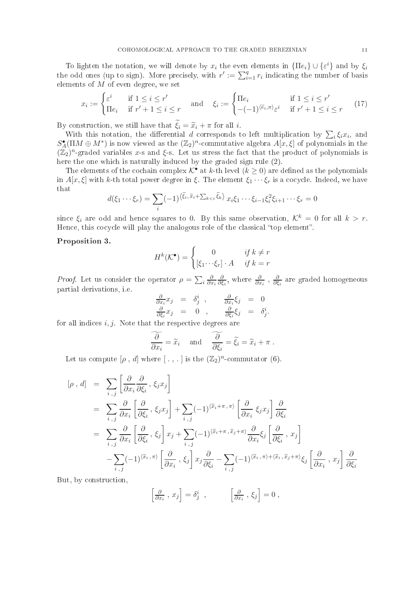To lighten the notation, we will denote by  $x_i$  the even elements in  $\{\Pi e_i\} \cup \{\varepsilon^i\}$  and by  $\xi_i$ the odd ones (up to sign). More precisely, with  $r' := \sum_{i=1}^{q} r_i$  indicating the number of basis elements of  $M$  of even degree, we set

$$
x_i := \begin{cases} \varepsilon^i & \text{if } 1 \le i \le r' \\ \Pi e_i & \text{if } r' + 1 \le i \le r \end{cases} \quad \text{and} \quad \xi_i := \begin{cases} \Pi e_i & \text{if } 1 \le i \le r' \\ -(1)^{\langle \tilde{e}_i, \pi \rangle} \varepsilon^i & \text{if } r' + 1 \le i \le r \end{cases} \tag{17}
$$

By construction, we still have that  $\xi_i = \tilde{x}_i + \pi$  for all *i*.

With this notation, the differential d corresponds to left multiplication by  $\sum_i \xi_i x_i$ , and  $S_A^{\bullet}(\Pi M \oplus M^*)$  is now viewed as the  $(\mathbb{Z}_2)^n$ -commutative algebra  $A[x,\xi]$  of polynomials in the  $(\mathbb{Z}_2)^n$ -graded variables x-s and  $\xi$ -s. Let us stress the fact that the product of polynomials is here the one which is naturally induced by the graded sign rule  $(2)$ .

The elements of the cochain complex  $K^{\bullet}$  at k-th level  $(k \geq 0)$  are defined as the polynomials in  $A[x,\xi]$  with k-th total power degree in  $\xi$ . The element  $\xi_1 \cdots \xi_r$  is a cocycle. Indeed, we have that

$$
d(\xi_1 \cdots \xi_r) = \sum_i (-1)^{\langle \widetilde{\xi}_i, \widetilde{x}_i + \sum_{k < i} \widetilde{\xi}_k \rangle} x_i \xi_1 \cdots \xi_{i-1} \xi_i^2 \xi_{i+1} \cdots \xi_r = 0
$$

since  $\xi_i$  are odd and hence squares to 0. By this same observation,  $\mathcal{K}^k = 0$  for all  $k > r$ . Hence, this cocycle will play the analogous role of the classical "top element".

# Proposition 3.

$$
H^{k}(\mathcal{K}^{\bullet}) = \begin{cases} 0 & \text{if } k \neq r \\ \left[\xi_{1} \cdots \xi_{r}\right] \cdot A & \text{if } k = r \end{cases}
$$

*Proof.* Let us consider the operator  $\rho = \sum_i \frac{\partial}{\partial x_i}$  $\partial x_i$ ∂  $\frac{\partial}{\partial \xi_i},$  where  $\frac{\partial}{\partial x_i}$  ,  $\frac{\partial}{\partial \xi_i}$  $\delta \xi_i$  are graded homogeneous partial derivations, i.e.

$$
\frac{\partial}{\partial x_i} x_j = \delta^i_j , \qquad \frac{\partial}{\partial x_i} \xi_j = 0 \n\frac{\partial}{\partial \xi_i} x_j = 0 , \qquad \frac{\partial}{\partial \xi_i} \xi_j = \delta^i_j.
$$

for all indices  $i, j$ . Note that the respective degrees are

$$
\frac{\partial}{\partial x_i} = \widetilde{x}_i \quad \text{and} \quad \frac{\partial}{\partial \xi_i} = \widetilde{\xi}_i = \widetilde{x}_i + \pi \; .
$$

Let us compute  $[\rho, d]$  where  $[., .]$  is the  $(\mathbb{Z}_2)^n$ -commutator  $(6)$ .

$$
\begin{array}{rcl}\n[\rho \ , \ d] & = & \sum_{i,j} \left[ \frac{\partial}{\partial x_i} \frac{\partial}{\partial \xi_i} \ , \ \xi_j x_j \right] \\
& = & \sum_{i,j} \frac{\partial}{\partial x_i} \left[ \frac{\partial}{\partial \xi_i} \ , \ \xi_j x_j \right] + \sum_{i,j} (-1)^{\langle \tilde{x}_i + \pi, \pi \rangle} \left[ \frac{\partial}{\partial x_i} \ \xi_j x_j \right] \frac{\partial}{\partial \xi_i} \\
& = & \sum_{i,j} \frac{\partial}{\partial x_i} \left[ \frac{\partial}{\partial \xi_i} \ , \ \xi_j \right] x_j + \sum_{i,j} (-1)^{\langle \tilde{x}_i + \pi, \tilde{x}_j + \pi \rangle} \frac{\partial}{\partial x_i} \xi_j \left[ \frac{\partial}{\partial \xi_i} \ , \ x_j \right] \\
& - \sum_{i,j} (-1)^{\langle \tilde{x}_i, \pi \rangle} \left[ \frac{\partial}{\partial x_i} \ , \ \xi_j \right] x_j \frac{\partial}{\partial \xi_i} - \sum_{i,j} (-1)^{\langle \tilde{x}_i, \pi \rangle + \langle \tilde{x}_i, \tilde{x}_j + \pi \rangle} \xi_j \left[ \frac{\partial}{\partial x_i} \ , \ x_j \right] \frac{\partial}{\partial \xi_i}\n\end{array}
$$

But, by onstru
tion,

$$
\left[\frac{\partial}{\partial x_i}, x_j\right] = \delta^i_j \ , \qquad \left[\frac{\partial}{\partial x_i}, \xi_j\right] = 0 \ ,
$$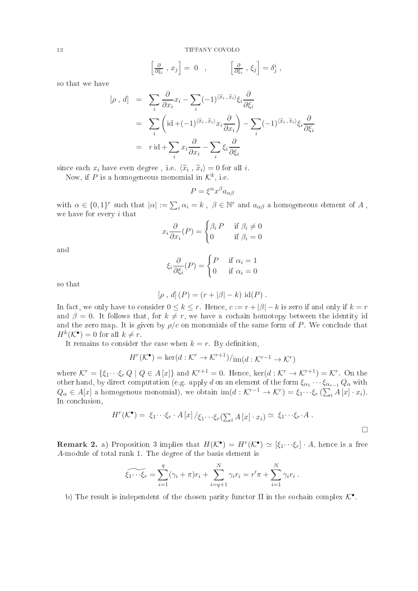$$
\left[\frac{\partial}{\partial \xi_i}, x_j\right] = 0 \quad , \qquad \left[\frac{\partial}{\partial \xi_i}, \xi_j\right] = \delta^i_j \; ,
$$

so that we have

$$
[\rho, d] = \sum_{i} \frac{\partial}{\partial x_{i}} x_{i} - \sum_{i} (-1)^{\langle \tilde{x}_{i}, \tilde{x}_{i} \rangle} \xi_{i} \frac{\partial}{\partial \xi_{i}}
$$
  

$$
= \sum_{i} \left( id + (-1)^{\langle \tilde{x}_{i}, \tilde{x}_{i} \rangle} x_{i} \frac{\partial}{\partial x_{i}} \right) - \sum_{i} (-1)^{\langle \tilde{x}_{i}, \tilde{x}_{i} \rangle} \xi_{i} \frac{\partial}{\partial \xi_{i}}
$$
  

$$
= r id + \sum_{i} x_{i} \frac{\partial}{\partial x_{i}} - \sum_{i} \xi_{i} \frac{\partial}{\partial \xi_{i}}
$$

since each  $x_i$  have even degree, i.e.  $\langle \tilde{x}_i, \tilde{x}_i \rangle = 0$  for all i.

Now, if P is a homogeneous monomial in  $\mathcal{K}^k$ , i.e.

$$
P = \xi^{\alpha} x^{\beta} a_{\alpha \beta}
$$

with  $\alpha \in \{0,1\}^r$  such that  $|\alpha| := \sum_i \alpha_i = k$ ,  $\beta \in \mathbb{N}^r$  and  $a_{\alpha\beta}$  a homogeneous element of A, we have for every i that

$$
x_i \frac{\partial}{\partial x_i}(P) = \begin{cases} \beta_i \, P & \text{if } \beta_i \neq 0 \\ 0 & \text{if } \beta_i = 0 \end{cases}
$$

and

$$
\xi_i \frac{\partial}{\partial \xi_i}(P) = \begin{cases} P & \text{if } \alpha_i = 1 \\ 0 & \text{if } \alpha_i = 0 \end{cases}
$$

so that

$$
[\rho, d] (P) = (r + |\beta| - k) \text{ id}(P) .
$$

In fact, we only have to consider  $0 \leq k \leq r$ . Hence,  $c := r + |\beta| - k$  is zero if and only if  $k = r$ and  $\beta = 0$ . It follows that, for  $k \neq r$ , we have a cochain homotopy between the identity id and the zero map. It is given by  $\rho/c$  on monomials of the same form of P. We conclude that  $H^k(\mathcal{K}^{\bullet}) = 0$  for all  $k \neq r$ .

It remains to consider the case when  $k = r$ . By definition,

$$
H^r(\mathcal{K}^{\bullet}) = \ker(d : \mathcal{K}^r \to \mathcal{K}^{r+1})/_{\text{im}(d : \mathcal{K}^{r-1} \to \mathcal{K}^r)}
$$

where  $\mathcal{K}^r = \{\xi_1 \cdots \xi_r Q \mid Q \in A[x]\}$  and  $\mathcal{K}^{r+1} = 0$ . Hence,  $\ker(d : \mathcal{K}^r \to \mathcal{K}^{r+1}) = \mathcal{K}^r$ . On the other hand, by direct computation (e.g. apply  $d$  on an element of the form  $\xi_{\alpha_1}\cdots \xi_{\alpha_{r-1}}\, Q_\alpha$  with  $Q_{\alpha} \in A[x]$  a homogenous monomial), we obtain  $\text{im}(d: \mathcal{K}^{r-1} \to \mathcal{K}^r) = \xi_1 \cdots \xi_r \left( \sum_i A[x] \cdot x_i \right)$ . In conclusion,

$$
H^r(\mathcal{K}^{\bullet}) = \xi_1 \cdots \xi_r \cdot A[x] / \xi_1 \cdots \xi_r (\sum_i A[x] \cdot x_i) \simeq \xi_1 \cdots \xi_r \cdot A .
$$

**Remark 2.** a) Proposition 3 implies that  $H(\mathcal{K}^{\bullet}) = H^{r}(\mathcal{K}^{\bullet}) \simeq [\xi_{1} \cdots \xi_{r}] \cdot A$ , hence is a free A-module of total rank 1. The degree of the basis element is

$$
\widetilde{\xi_1 \cdots \xi_r} = \sum_{i=1}^q (\gamma_i + \pi) r_i + \sum_{i=q+1}^N \gamma_i r_i = r' \pi + \sum_{i=1}^N \gamma_i r_i.
$$

b) The result is independent of the chosen parity functor  $\Pi$  in the cochain complex  $\mathcal{K}^{\bullet}$ .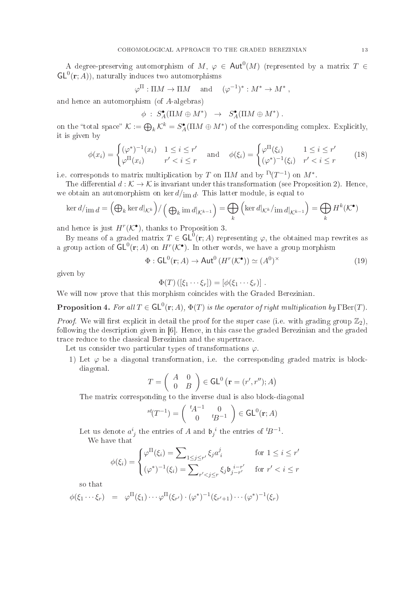A degree-preserving automorphism of  $M, \varphi \in Aut^0(M)$  (represented by a matrix  $T \in$  $\mathsf{GL}^{0}(\mathbf{r};A)$ , naturally induces two automorphisms

$$
\varphi^{\Pi}: \Pi M \to \Pi M \quad \text{and} \quad (\varphi^{-1})^* : M^* \to M^*,
$$

and hen
e an automorphism (of A-algebras)

$$
\phi \; : \; S^{\bullet}_A(\Pi M \oplus M^*) \;\; \rightarrow \;\; S^{\bullet}_A(\Pi M \oplus M^*) \; .
$$

on the "total space"  $\mathcal{K} := \bigoplus_k \mathcal{K}^k = S^{\bullet}_A(\Pi M \oplus M^*)$  of the corresponding complex. Explicitly, it is given by

$$
\phi(x_i) = \begin{cases}\n(\varphi^*)^{-1}(x_i) & 1 \le i \le r' \\
\varphi^{\Pi}(x_i) & r' < i \le r\n\end{cases}\n\quad \text{and} \quad\n\phi(\xi_i) = \begin{cases}\n\varphi^{\Pi}(\xi_i) & 1 \le i \le r' \\
(\varphi^*)^{-1}(\xi_i) & r' < i \le r\n\end{cases}\n\tag{18}
$$

i.e. corresponds to matrix multiplication by T on  $\Pi M$  and by  $\Gamma^{\text{t}}(T^{-1})$  on  $M^*$ .

The differential  $d : \mathcal{K} \to \mathcal{K}$  is invariant under this transformation (see Proposition 2). Hence, we obtain an automorphism on  $\ker d/{\mathop{\mathrm{im}}\nolimits d}$ . This latter module, is equal to

$$
\ker d/\mathrm{im}\,d = \left(\bigoplus_{k} \ker d|_{\mathcal{K}^{k}}\right) / \left(\bigoplus_{k} \mathrm{im}\,d|_{\mathcal{K}^{k-1}}\right) = \bigoplus_{k} \left(\ker d|_{\mathcal{K}^{k}}/\mathrm{im}\,d|_{\mathcal{K}^{k-1}}\right) = \bigoplus_{k} H^{k}(\mathcal{K}^{\bullet})
$$

and hence is just  $H^r(\mathcal{K}^{\bullet})$ , thanks to Proposition 3.

By means of a graded matrix  $T \in \mathsf{GL}^0(\mathbf{r};A)$  representing  $\varphi$ , the obtained map rewrites as a group action of  $\mathsf{GL}^0(\mathbf{r};A)$  on  $H^r(\mathcal{K}^\bullet).$  In other words, we have a group morphism

$$
\Phi : \mathsf{GL}^0(\mathbf{r}; A) \to \mathsf{Aut}^0\left(H^r(\mathcal{K}^\bullet)\right) \simeq (A^0)^\times \tag{19}
$$

given by

$$
\Phi(T) ([\xi_1 \cdots \xi_r]) = [\phi(\xi_1 \cdots \xi_r)].
$$

We will now prove that this morphism coincides with the Graded Berezinian.

**Proposition 4.** For all  $T \in GL^0(\mathbf{r};A)$ ,  $\Phi(T)$  is the operator of right multiplication by  $\text{TBer}(T)$ .

*Proof.* We will first explicit in detail the proof for the super case (i.e. with grading group  $\mathbb{Z}_2$ ), following the description given in  $[6]$ . Hence, in this case the graded Berezinian and the graded trace reduce to the classical Berezinian and the supertrace.

Let us consider two particular types of transformations  $\varphi$ .

1) Let  $\varphi$  be a diagonal transformation, i.e. the corresponding graded matrix is blockdiagonal.

$$
T = \left(\begin{array}{cc} A & 0 \\ 0 & B \end{array}\right) \in \mathsf{GL}^0\left(\mathbf{r} = (r', r''); A\right)
$$

The matrix corresponding to the inverse dual is also block-diagonal

$$
^{st}(T^{-1}) = \left(\begin{array}{cc} ^{t}A^{-1} & 0\\ 0 & ^{t}B^{-1} \end{array}\right) \in \mathsf{GL}^{0}(\mathbf{r};A)
$$

Let us denote  $a^i_{\ j}$  the entries of  $A$  and  $\mathfrak{b}_j^{\ i}$  the entries of  ${}^t\!B^{-1}$ .

We have that

$$
\phi(\xi_i) = \begin{cases} \varphi^{\Pi}(\xi_i) = \sum_{1 \le j \le r'} \xi_j a_i^j & \text{for } 1 \le i \le r' \\ (\varphi^*)^{-1}(\xi_i) = \sum_{r' < j \le r} \xi_j \mathfrak{b}_{j-r'}^{i-r'} & \text{for } r' < i \le r \end{cases}
$$

so that

$$
\phi(\xi_1 \cdots \xi_r) = \varphi^{\Pi}(\xi_1) \cdots \varphi^{\Pi}(\xi_{r'}) \cdot (\varphi^*)^{-1}(\xi_{r'+1}) \cdots (\varphi^*)^{-1}(\xi_r)
$$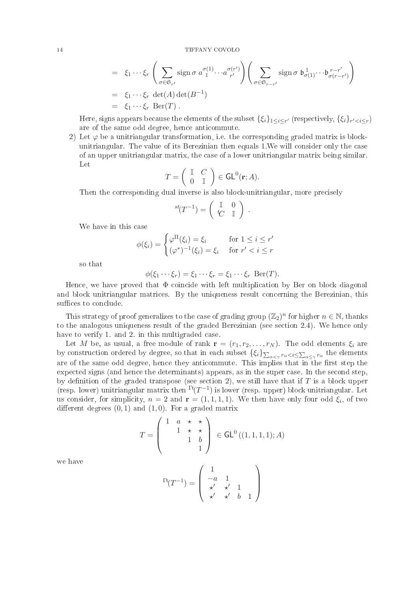$$
= \xi_1 \cdots \xi_r \left( \sum_{\sigma \in \mathfrak{S}_{r'}} \text{sign} \,\sigma \, a^{\sigma(1)}_{1} \cdots a^{\sigma(r')}_{r'} \right) \left( \sum_{\sigma \in \mathfrak{S}_{r-r'}} \text{sign} \,\sigma \, \mathfrak{b}^1_{\sigma(1)} \cdots \mathfrak{b}^{r-r'}_{\sigma(r-r')} \right)
$$
  
\n
$$
= \xi_1 \cdots \xi_r \, \det(A) \det(B^{-1})
$$
  
\n
$$
= \xi_1 \cdots \xi_r \, \text{Ber}(T) .
$$

Here, signs appears because the elements of the subset  $\{\xi_i\}_{1\leq i\leq r'}$  (respectively,  $\{\xi_i\}_{r'< i\leq r})$ are of the same odd degree, hen
e anti
ommute.

2) Let  $\varphi$  be a unitriangular transformation, i.e. the corresponding graded matrix is blockunitriangular. The value of its Berezinian then equals 1.We will onsider only the ase of an upper unitriangular matrix, the ase of a lower unitriangular matrix being similar. Let

$$
T = \left( \begin{array}{cc} \mathbb{I} & C \\ 0 & \mathbb{I} \end{array} \right) \in \mathsf{GL}^0(\mathbf{r};A).
$$

Then the orresponding dual inverse is also blo
k-unitriangular, more pre
isely

$$
^{st}(T^{-1}) = \left(\begin{array}{cc} \mathbb{I} & 0 \\ tC & \mathbb{I} \end{array}\right) .
$$

We have in this ase

$$
\phi(\xi_i) = \begin{cases} \varphi^{\Pi}(\xi_i) = \xi_i & \text{for } 1 \le i \le r' \\ (\varphi^*)^{-1}(\xi_i) = \xi_i & \text{for } r' < i \le r \end{cases}
$$

so that

$$
\phi(\xi_1 \cdots \xi_r) = \xi_1 \cdots \xi_r = \xi_1 \cdots \xi_r \operatorname{Ber}(T).
$$

Hence, we have proved that  $\Phi$  coincide with left multiplication by Ber on block diagonal and blo
k unitriangular matri
es. By the uniqueness result on
erning the Berezinian, this suffices to conclude.

This strategy of proof generalizes to the case of grading group  $(\mathbb{Z}_2)^n$  for higher  $n \in \mathbb{N}$ , thanks to the analogous uniqueness result of the graded Berezinian (see section 2.4). We hence only have to verify 1, and 2, in this multigraded case.

Let M be, as usual, a free module of rank  $\mathbf{r} = (r_1, r_2, \ldots, r_N)$ . The odd elements  $\xi_i$  are by construction ordered by degree, so that in each subset  $\{\xi_i\}_{\sum_{\alpha<\gamma}r_\alpha the elements$ are of the same odd degree, hence they anticommute. This implies that in the first step the expected signs (and hence the determinants) appears, as in the super case. In the second step, by definition of the graded transpose (see section 2), we still have that if  $T$  is a block upper (resp. lower) unitriangular matrix then  $\Gamma^{\text{t}}(T^{-1})$  is lower (resp. upper) block unitriangular. Let us consider, for simplicity,  $n = 2$  and  $\mathbf{r} = (1, 1, 1, 1)$ . We then have only four odd  $\xi_i$ , of two different degrees  $(0, 1)$  and  $(1, 0)$ . For a graded matrix

$$
T = \left(\begin{array}{ccc} 1 & a & \star & \star \\ & 1 & \star & \star \\ & & 1 & b \\ & & & 1 \end{array}\right) \in \mathsf{GL}^0\left((1,1,1,1);A\right)
$$

we have

$$
\Gamma^{t}(T^{-1}) = \left( \begin{array}{ccc} 1 & & \\ -a & 1 & \\ \star' & \star' & 1 \\ \star' & \star' & b & 1 \end{array} \right)
$$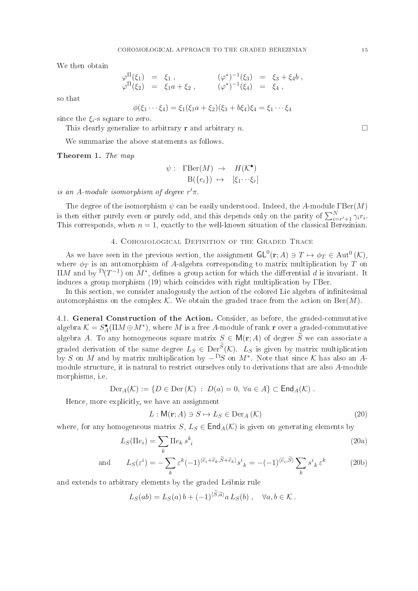We then obtain

$$
\begin{array}{rcl}\n\varphi^{\Pi}(\xi_1) & = & \xi_1 \; , & (\varphi^*)^{-1}(\xi_3) & = & \xi_3 + \xi_4 b \; , \\
\varphi^{\Pi}(\xi_2) & = & \xi_1 a + \xi_2 \; , & (\varphi^*)^{-1}(\xi_4) & = & \xi_4 \; ,\n\end{array}
$$

so that

$$
\phi(\xi_1 \cdots \xi_4) = \xi_1(\xi_1 a + \xi_2)(\xi_3 + b\xi_4)\xi_4 = \xi_1 \cdots \xi_4
$$

since the  $\xi_i$ -s square to zero.

This clearly generalize to arbitrary **r** and arbitrary n.

We summarize the above statements as follows.

Theorem 1. The map

$$
\psi: \text{ TBer}(M) \to H(\mathcal{K}^{\bullet})
$$

$$
B({e_i}) \mapsto [\xi_1 \cdots \xi_r]
$$

is an A-module isomorphism of degree  $r'$  $\pi$ .

The degree of the isomorphism  $\psi$  can be easily understood. Indeed, the A-module  $\text{TBer}(M)$ is then either purely even or purely odd, and this depends only on the parity of  $\sum_{i=r'+1}^{N} \gamma_i r_i$ . This corresponds, when  $n = 1$ , exactly to the well-known situation of the classical Berezinian.

### 4. COHOMOLOGICAL DEFINITION OF THE GRADED TRACE

As we have seen in the previous section, the assignment  $\mathsf{GL}^0(\mathbf{r};A)\ni T\mapsto \phi_T\in \mathrm{Aut}^0\left(\mathcal{K}\right),$ where  $\phi_T$  is an automorphism of A-algebra corresponding to matrix multiplication by  $T$  on  $\Pi M$  and by  $\Gamma(T^{-1})$  on  $M^*$ , defines a group action for which the differential  $d$  is invariant. It induces a group morphism (19) which coincides with right multiplication by TBer.

In this section, we consider analogously the action of the colored Lie algebra of infinitesimal automorphisms on the complex K. We obtain the graded trace from the action on  $\text{Ber}(M)$ .

4.1. General Construction of the Action. Consider, as before, the graded-commutative algebra  $\mathcal{K} = S_A^{\bullet}(\Pi M \oplus M^*),$  where  $M$  is a free A-module of rank  ${\bf r}$  over a graded-commutative algebra A. To any homogeneous square matrix  $S \in M(r; A)$  of degree  $\widetilde{S}$  we can associate a graded derivation of the same degree  $L_S \in \text{Der}^S(\mathcal{K})$ .  $L_S$  is given by matrix multiplication by S on M and by matrix multiplication by  $-\Gamma S$  on  $M^*$ . Note that since K has also an Amodule structure, it is natural to restrict ourselves only to derivations that are also A-module morphisms, i.e.

$$
\mathrm{Der}_A(\mathcal{K}) := \{ D \in \mathrm{Der}(\mathcal{K}) \ : \ D(a) = 0, \ \forall a \in A \} \subset \mathsf{End}_A(\mathcal{K}) \ .
$$

Hence, more explicitly, we have an assignment

$$
L: \mathsf{M}(\mathbf{r}; A) \ni S \mapsto L_S \in \text{Der}_A(\mathcal{K})
$$
\n
$$
(20)
$$

where, for any homogeneous matrix  $S, L_S \in \text{End}_A(\mathcal{K})$  is given on generating elements by

$$
L_S(\Pi e_i) = \sum_k \Pi e_k s_i^k \tag{20a}
$$

and 
$$
L_S(\varepsilon^i) = -\sum_k \varepsilon^k (-1)^{\langle \widetilde{e}_i + \widetilde{e}_k, \widetilde{S} + \widetilde{e}_k \rangle} s^i{}_k = -(-1)^{\langle \widetilde{e}_i, \widetilde{S} \rangle} \sum_k s^i{}_k \varepsilon^k \qquad (20b)
$$

and extends to arbitrary elements by the graded Leibniz rule

$$
L_S(ab) = L_S(a)b + (-1)^{\langle S, \widetilde{a} \rangle} a L_S(b) , \quad \forall a, b \in \mathcal{K}.
$$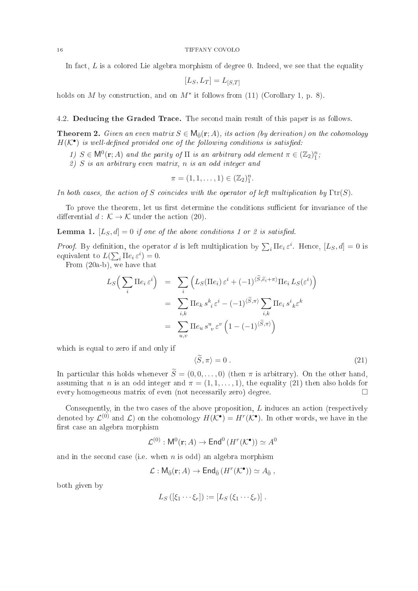In fact,  $L$  is a colored Lie algebra morphism of degree 0. Indeed, we see that the equality

$$
[L_S, L_T] = L_{[S,T]}
$$

holds on M by construction, and on  $M^*$  it follows from (11) (Corollary 1, p. 8).

4.2. Deducing the Graded Trace. The second main result of this paper is as follows.

**Theorem 2.** Given an even matrix  $S \in \mathsf{M}_{\bar{0}}(\mathbf{r};A)$ , its action (by derivation) on the cohomology  $H(\mathcal{K}^{\bullet})$  is well-defined provided one of the following conditions is satisfied:

1)  $S \in \mathsf{M}^0(\mathbf{r};A)$  and the parity of  $\Pi$  is an arbitrary odd element  $\pi \in (\mathbb{Z}_2)^n_{\overline{1}}$ ;

2) S is an arbitrary even matrix, n is an odd integer and

$$
\pi=(1,1,\ldots,1)\in (\mathbb{Z}_2)^n_1.
$$

In both cases, the action of S coincides with the operator of left multiplication by  $\text{Tr}(S)$ .

To prove the theorem, let us first determine the conditions sufficient for invariance of the differential  $d : \mathcal{K} \to \mathcal{K}$  under the action (20).

**Lemma 1.**  $[L_S, d] = 0$  if one of the above conditions 1 or 2 is satisfied.

*Proof.* By definition, the operator d is left multiplication by  $\sum_i \Pi e_i \varepsilon^i$ . Hence,  $[L_S, d] = 0$  is equivalent to  $L(\sum_i \Pi e_i \varepsilon^i) = 0$ .

From (20a-b), we have that

$$
L_S\left(\sum_i \Pi e_i \,\varepsilon^i\right) = \sum_i \left(L_S(\Pi e_i) \,\varepsilon^i + (-1)^{\langle \widetilde{S}, \widetilde{e}_i + \pi \rangle} \Pi e_i L_S(\varepsilon^i)\right)
$$
  

$$
= \sum_{i,k} \Pi e_k s^k{}_i \,\varepsilon^i - (-1)^{\langle \widetilde{S}, \pi \rangle} \sum_{i,k} \Pi e_i s^i{}_k \varepsilon^k
$$
  

$$
= \sum_{u,v} \Pi e_u s^u{}_v \,\varepsilon^v \left(1 - (-1)^{\langle \widetilde{S}, \pi \rangle}\right)
$$

which is equal to zero if and only if

$$
\langle \widetilde{S}, \pi \rangle = 0 \tag{21}
$$

In particular this holds whenever  $\widetilde{S} = (0, 0, \ldots, 0)$  (then  $\pi$  is arbitrary). On the other hand, assuming that n is an odd integer and  $\pi = (1, 1, \ldots, 1)$ , the equality (21) then also holds for every homogeneous matrix of even (not ne
essarily zero) degree.

Consequently, in the two cases of the above proposition,  $L$  induces an action (respectively denoted by  $\mathcal{L}^{(0)}$  and  $\mathcal{L}$ ) on the cohomology  $H(\mathcal{K}^{\bullet}) = H^r(\mathcal{K}^{\bullet})$ . In other words, we have in the first case an algebra morphism

$$
\mathcal{L}^{(0)} : \mathsf{M}^0(\mathbf{r}; A) \to \mathsf{End}^0\left(H^r(\mathcal{K}^\bullet)\right) \simeq A^0
$$

and in the second case (i.e. when  $n$  is odd) an algebra morphism

$$
\mathcal{L}: \mathsf{M}_{\bar{0}}(\mathbf{r}; A) \to \mathsf{End}_{\bar{0}}\left(H^r(\mathcal{K}^{\bullet})\right) \simeq A_{\bar{0}} ,
$$

both given by

$$
L_S\left(\left[\xi_1\cdots\xi_r\right]\right):=\left[L_S\left(\xi_1\cdots\xi_r\right)\right].
$$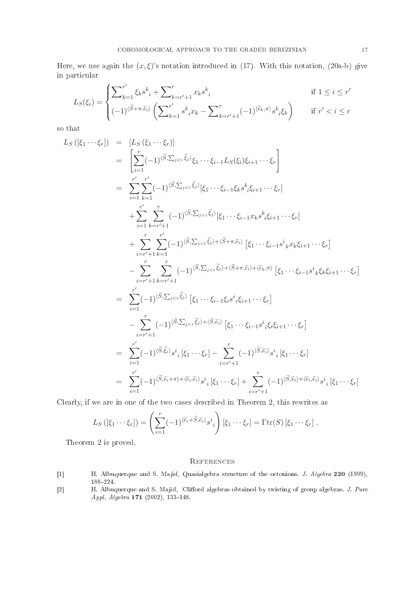Here, we use again the  $(x,\xi)$ 's notation introduced in (17). With this notation, (20a-b) give in parti
ular

$$
L_S(\xi_i) = \begin{cases} \sum_{k=1}^{r'} \xi_k s_{\;i}^k + \sum_{k=r'+1}^r x_k s_{\;i}^k & \text{if } 1 \le i \le r'\\ (-1)^{\langle \tilde{S} + \pi, \tilde{e}_i \rangle} \left( \sum_{k=1}^{r'} s_{\;i}^k x_k - \sum_{k=r'+1}^r (-1)^{\langle \tilde{e}_k, \pi \rangle} s_{\;i}^k \xi_k \right) & \text{if } r' < i \le r \end{cases}
$$

so that

$$
L_S([\xi_1 \cdots \xi_r]) = [L_S(\xi_1 \cdots \xi_r)]
$$
  
\n
$$
= \left[ \sum_{i=1}^r (-1)^{\langle \tilde{S}, \sum_{j < i} \tilde{\xi}_j \rangle} \xi_1 \cdots \xi_{i-1} L_S(\xi_i) \xi_{i+1} \cdots \xi_r \right]
$$
  
\n
$$
= \sum_{i=1}^{r'} \sum_{k=1}^r (-1)^{\langle \tilde{S}, \sum_{j < i} \tilde{\xi}_j \rangle} [\xi_1 \cdots \xi_{i-1} \xi_k s^k_{i} \xi_{i+1} \cdots \xi_r]
$$
  
\n
$$
+ \sum_{i=1}^r \sum_{k=r'+1}^r (-1)^{\langle \tilde{S}, \sum_{j < i} \tilde{\xi}_j \rangle} [\xi_1 \cdots \xi_{i-1} x_k s^k_{i} \xi_{i+1} \cdots \xi_r]
$$
  
\n
$$
+ \sum_{i=r'+1}^r \sum_{k=1}^{r'} (-1)^{\langle \tilde{S}, \sum_{j < i} \tilde{\xi}_j \rangle + \langle \tilde{S} + \pi, \tilde{\epsilon}_i \rangle} [\xi_1 \cdots \xi_{i-1} s^i_k x_k \xi_{i+1} \cdots \xi_r]
$$
  
\n
$$
- \sum_{i=r'+1}^r \sum_{k=r'+1}^r (-1)^{\langle \tilde{S}, \sum_{j < i} \tilde{\xi}_j \rangle + \langle \tilde{S} + \pi, \tilde{\epsilon}_i \rangle + \langle \tilde{\epsilon}_{k}, \pi \rangle} [\xi_1 \cdots \xi_{i-1} s^i_k \xi_k \xi_{i+1} \cdots \xi_r]
$$
  
\n
$$
= \sum_{i=1}^{r'} (-1)^{\langle \tilde{S}, \sum_{j < i} \tilde{\xi}_j \rangle} [\xi_1 \cdots \xi_{i-1} \xi_i s^i_{i} \xi_{i+1} \cdots \xi_r]
$$
  
\n
$$
- \sum_{i=r'+1}^r (-1)^{\langle \tilde{S}, \sum_{j < i} \tilde{\xi}_j \rangle + \langle \tilde{S}, \tilde{\epsilon}_i \rangle} [\xi_1 \cdots \xi_{i-1} s^i_i \xi_i \xi_{i+1} \cdots \xi_r
$$

Clearly, if we are in one of the two cases described in Theorem 2, this rewrites as

$$
L_S\left(\left[\xi_1\cdots\xi_r\right]\right)=\left(\sum_{i=1}^r(-1)^{\langle\tilde{e}_i+\tilde{S},\tilde{e}_i\rangle}s^i_{\;i}\right)\left[\xi_1\cdots\xi_r\right]=\Gamma\mathrm{tr}(S)\left[\xi_1\cdots\xi_r\right].
$$

Theorem 2 is proved.

- [1] H. Albuquerque and S. Majid, Quasialgebra structure of the octonions. *J. Algebra* 220 (1999), 188224.
- [2] H. Albuquerque and S. Majid, Clifford algebras obtained by twisting of group algebras. J. Pure Appl. Algebra  $171$   $(2002)$ ,  $133-148$ .